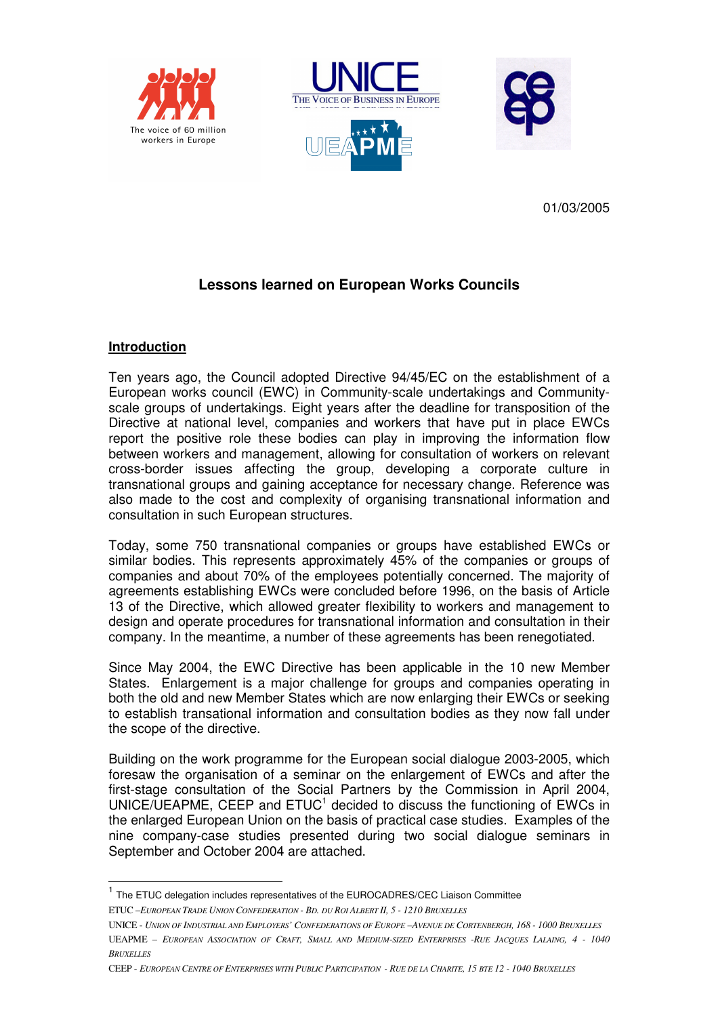





01/03/2005

# **Lessons learned on European Works Councils**

#### **Introduction**

 $\overline{a}$ 

Ten years ago, the Council adopted Directive 94/45/EC on the establishment of a European works council (EWC) in Community-scale undertakings and Communityscale groups of undertakings. Eight years after the deadline for transposition of the Directive at national level, companies and workers that have put in place EWCs report the positive role these bodies can play in improving the information flow between workers and management, allowing for consultation of workers on relevant cross-border issues affecting the group, developing a corporate culture in transnational groups and gaining acceptance for necessary change. Reference was also made to the cost and complexity of organising transnational information and consultation in such European structures.

Today, some 750 transnational companies or groups have established EWCs or similar bodies. This represents approximately 45% of the companies or groups of companies and about 70% of the employees potentially concerned. The majority of agreements establishing EWCs were concluded before 1996, on the basis of Article 13 of the Directive, which allowed greater flexibility to workers and management to design and operate procedures for transnational information and consultation in their company. In the meantime, a number of these agreements has been renegotiated.

Since May 2004, the EWC Directive has been applicable in the 10 new Member States. Enlargement is a major challenge for groups and companies operating in both the old and new Member States which are now enlarging their EWCs or seeking to establish transational information and consultation bodies as they now fall under the scope of the directive.

Building on the work programme for the European social dialogue 2003-2005, which foresaw the organisation of a seminar on the enlargement of EWCs and after the first-stage consultation of the Social Partners by the Commission in April 2004, UNICE/UEAPME, CEEP and  $ETUC<sup>1</sup>$  decided to discuss the functioning of EWCs in the enlarged European Union on the basis of practical case studies. Examples of the nine company-case studies presented during two social dialogue seminars in September and October 2004 are attached.

ETUC –*EUROPEAN TRADE UNION CONFEDERATION - BD. DU ROI ALBERT II, 5 - 1210 BRUXELLES*  <sup>1</sup> The ETUC delegation includes representatives of the EUROCADRES/CEC Liaison Committee

UNICE - UNION OF INDUSTRIAL AND EMPLOYERS' CONFEDERATIONS OF EUROPE -AVENUE DE CORTENBERGH, 168 - 1000 BRUXELLES UEAPME - EUROPEAN ASSOCIATION OF CRAFT, SMALL AND MEDIUM-SIZED ENTERPRISES -RUE JACOUES LALAING, 4 - 1040 *BRUXELLES*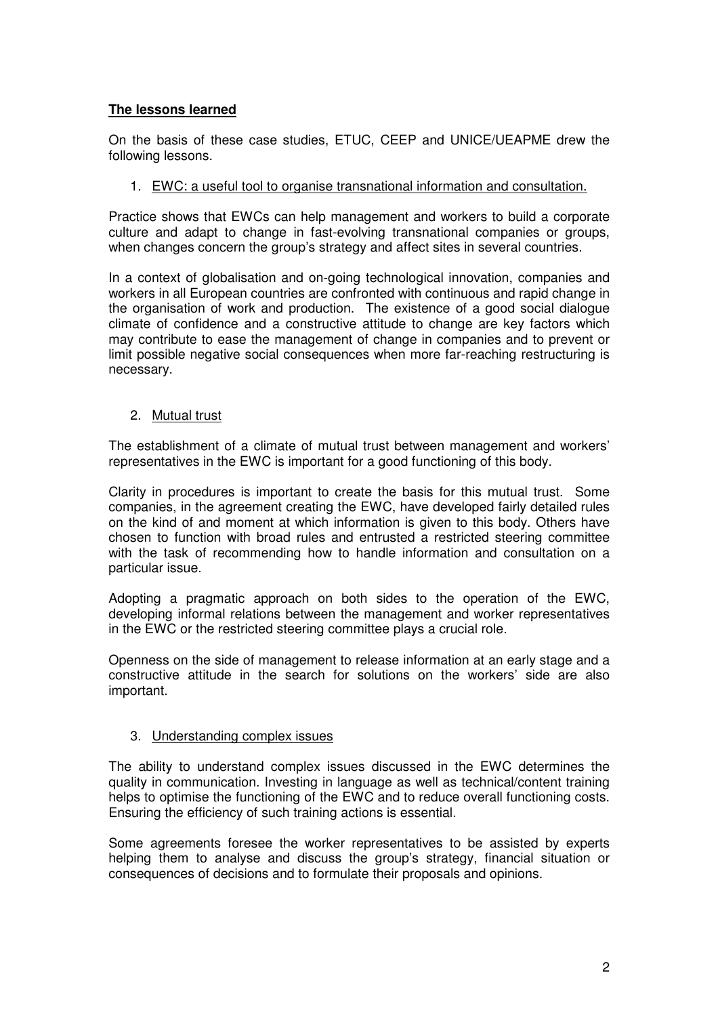### **The lessons learned**

On the basis of these case studies, ETUC, CEEP and UNICE/UEAPME drew the following lessons.

#### 1. EWC: a useful tool to organise transnational information and consultation.

Practice shows that EWCs can help management and workers to build a corporate culture and adapt to change in fast-evolving transnational companies or groups, when changes concern the group's strategy and affect sites in several countries.

In a context of globalisation and on-going technological innovation, companies and workers in all European countries are confronted with continuous and rapid change in the organisation of work and production. The existence of a good social dialogue climate of confidence and a constructive attitude to change are key factors which may contribute to ease the management of change in companies and to prevent or limit possible negative social consequences when more far-reaching restructuring is necessary.

#### 2. Mutual trust

The establishment of a climate of mutual trust between management and workers' representatives in the EWC is important for a good functioning of this body.

Clarity in procedures is important to create the basis for this mutual trust. Some companies, in the agreement creating the EWC, have developed fairly detailed rules on the kind of and moment at which information is given to this body. Others have chosen to function with broad rules and entrusted a restricted steering committee with the task of recommending how to handle information and consultation on a particular issue.

Adopting a pragmatic approach on both sides to the operation of the EWC, developing informal relations between the management and worker representatives in the EWC or the restricted steering committee plays a crucial role.

Openness on the side of management to release information at an early stage and a constructive attitude in the search for solutions on the workers' side are also important.

#### 3. Understanding complex issues

The ability to understand complex issues discussed in the EWC determines the quality in communication. Investing in language as well as technical/content training helps to optimise the functioning of the EWC and to reduce overall functioning costs. Ensuring the efficiency of such training actions is essential.

Some agreements foresee the worker representatives to be assisted by experts helping them to analyse and discuss the group's strategy, financial situation or consequences of decisions and to formulate their proposals and opinions.